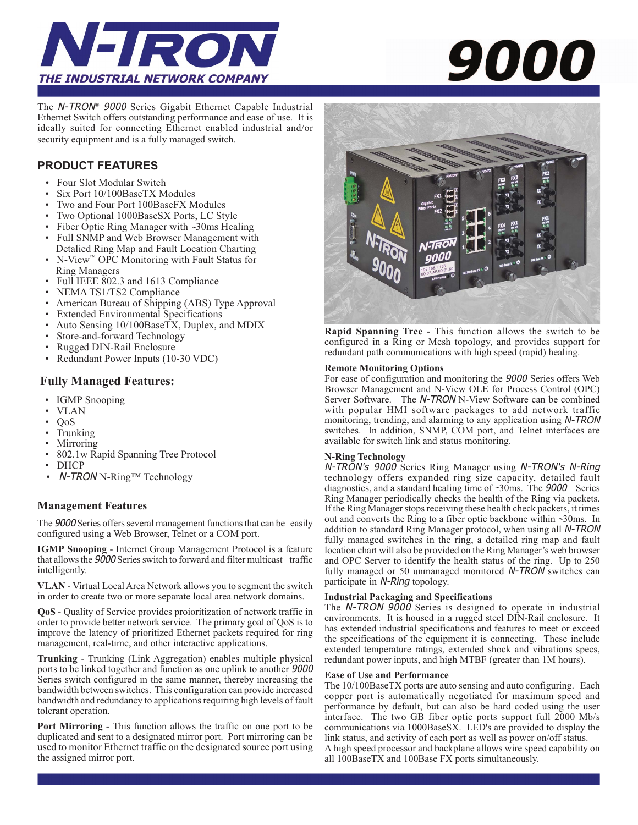

The N-TRON*®* 9000 Series Gigabit Ethernet Capable Industrial Ethernet Switch offers outstanding performance and ease of use. It is ideally suited for connecting Ethernet enabled industrial and/or security equipment and is a fully managed switch.

### **PRODUCT FEATURES**

- Four Slot Modular Switch
- Six Port 10/100BaseTX Modules
- Two and Four Port 100BaseFX Modules
- Two Optional 1000BaseSX Ports, LC Style
- Fiber Optic Ring Manager with ~30ms Healing<br>• Full SNMP and Web Browser Management with
- Full SNMP and Web Browser Management with Detalied Ring Map and Fault Location Charting
- N-View™ OPC Monitoring with Fault Status for Ring Managers
- Full IEEE 802.3 and 1613 Compliance
- NEMA TS1/TS2 Compliance
- American Bureau of Shipping (ABS) Type Approval
- Extended Environmental Specifications
- Auto Sensing 10/100BaseTX, Duplex, and MDIX
- Store-and-forward Technology
- Rugged DIN-Rail Enclosure
- Redundant Power Inputs (10-30 VDC)

#### **Fully Managed Features:**

- IGMP Snooping
- VLAN
- QoS
- Trunking
- **Mirroring**
- 802.1w Rapid Spanning Tree Protocol
- DHCP
- N-TRON N-Ring™ Technology

#### **Management Features**

The 9000 Series offers several management functions that can be easily configured using a Web Browser, Telnet or a COM port.

**IGMP Snooping** - Internet Group Management Protocol is a feature that allows the 9000 Series switch to forward and filter multicast traffic intelligently.

**VLAN** - Virtual Local Area Network allows you to segment the switch in order to create two or more separate local area network domains.

**QoS** - Quality of Service provides proioritization of network traffic in order to provide better network service. The primary goal of QoS is to improve the latency of prioritized Ethernet packets required for ring management, real-time, and other interactive applications.

**Trunking** - Trunking (Link Aggregation) enables multiple physical ports to be linked together and function as one uplink to another 9000 Series switch configured in the same manner, thereby increasing the bandwidth between switches. This configuration can provide increased bandwidth and redundancy to applications requiring high levels of fault tolerant operation.

**Port Mirroring - This function allows the traffic on one port to be** duplicated and sent to a designated mirror port. Port mirroring can be used to monitor Ethernet traffic on the designated source port using the assigned mirror port.

# *9000*



**Rapid Spanning Tree -** This function allows the switch to be configured in a Ring or Mesh topology, and provides support for redundant path communications with high speed (rapid) healing.

#### **Remote Monitoring Options**

For ease of configuration and monitoring the 9000 Series offers Web Browser Management and N-View OLE for Process Control (OPC) Server Software. The N-TRON N-View Software can be combined with popular HMI software packages to add network traffic monitoring, trending, and alarming to any application using N-TRON switches. In addition, SNMP, COM port, and Telnet interfaces are available for switch link and status monitoring.

#### **N-Ring Technology**

N-TRON's 9000 Series Ring Manager using N-TRON's N-Ring technology offers expanded ring size capacity, detailed fault diagnostics, and a standard healing time of ~30ms. The 9000 Series<br>Ring Manager periodically shacks the health of the Ring via posicita Ring Manager periodically checks the health of the Ring via packets. If the Ring Manager stops receiving these health check packets, it times out and converts the Ring to a fiber optic backbone within ~30ms. In addition to standard Pine Menages prectoel, when weing all N-TDOM addition to standard Ring Manager protocol, when using all N-TRON fully managed switches in the ring, a detailed ring map and fault location chart will also be provided on the Ring Manager's web browser and OPC Server to identify the health status of the ring. Up to 250 fully managed or 50 unmanaged monitored N-TRON switches can participate in N-Ring topology.

#### **Industrial Packaging and Specifications**

The N-TRON 9000 Series is designed to operate in industrial environments. It is housed in a rugged steel DIN-Rail enclosure. It has extended industrial specifications and features to meet or exceed the specifications of the equipment it is connecting. These include extended temperature ratings, extended shock and vibrations specs, redundant power inputs, and high MTBF (greater than 1M hours).

#### **Ease of Use and Performance**

The 10/100BaseTX ports are auto sensing and auto configuring. Each copper port is automatically negotiated for maximum speed and performance by default, but can also be hard coded using the user interface. The two GB fiber optic ports support full 2000 Mb/s communications via 1000BaseSX. LED's are provided to display the link status, and activity of each port as well as power on/off status. A high speed processor and backplane allows wire speed capability on all 100BaseTX and 100Base FX ports simultaneously.